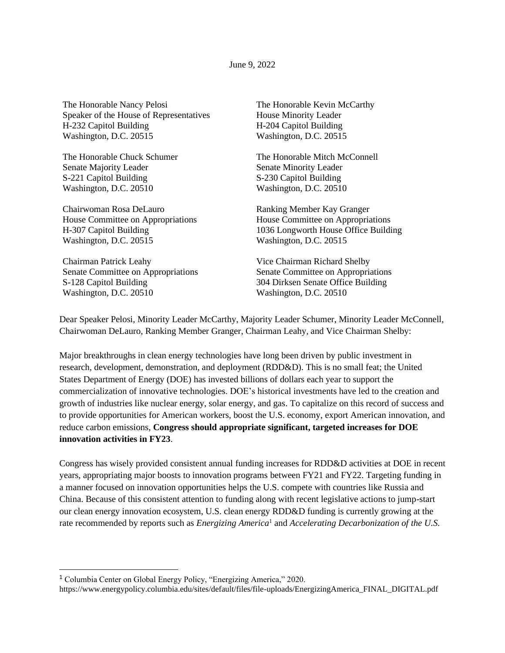June 9, 2022

The Honorable Nancy Pelosi Speaker of the House of Representatives H-232 Capitol Building Washington, D.C. 20515

The Honorable Chuck Schumer Senate Majority Leader S-221 Capitol Building Washington, D.C. 20510

Chairwoman Rosa DeLauro House Committee on Appropriations H-307 Capitol Building Washington, D.C. 20515

Chairman Patrick Leahy Senate Committee on Appropriations S-128 Capitol Building Washington, D.C. 20510

The Honorable Kevin McCarthy House Minority Leader H-204 Capitol Building Washington, D.C. 20515

The Honorable Mitch McConnell Senate Minority Leader S-230 Capitol Building Washington, D.C. 20510

Ranking Member Kay Granger House Committee on Appropriations 1036 Longworth House Office Building Washington, D.C. 20515

Vice Chairman Richard Shelby Senate Committee on Appropriations 304 Dirksen Senate Office Building Washington, D.C. 20510

Dear Speaker Pelosi, Minority Leader McCarthy, Majority Leader Schumer, Minority Leader McConnell, Chairwoman DeLauro, Ranking Member Granger, Chairman Leahy, and Vice Chairman Shelby:

Major breakthroughs in clean energy technologies have long been driven by public investment in research, development, demonstration, and deployment (RDD&D). This is no small feat; the United States Department of Energy (DOE) has invested billions of dollars each year to support the commercialization of innovative technologies. DOE's historical investments have led to the creation and growth of industries like nuclear energy, solar energy, and gas. To capitalize on this record of success and to provide opportunities for American workers, boost the U.S. economy, export American innovation, and reduce carbon emissions, **Congress should appropriate significant, targeted increases for DOE innovation activities in FY23**.

Congress has wisely provided consistent annual funding increases for RDD&D activities at DOE in recent years, appropriating major boosts to innovation programs between FY21 and FY22. Targeting funding in a manner focused on innovation opportunities helps the U.S. compete with countries like Russia and China. Because of this consistent attention to funding along with recent legislative actions to jump-start our clean energy innovation ecosystem, U.S. clean energy RDD&D funding is currently growing at the rate recommended by reports such as *Energizing America*<sup>1</sup> and *Accelerating Decarbonization of the U.S.* 

<sup>1</sup> Columbia Center on Global Energy Policy, "Energizing America," 2020.

https://www.energypolicy.columbia.edu/sites/default/files/file-uploads/EnergizingAmerica\_FINAL\_DIGITAL.pdf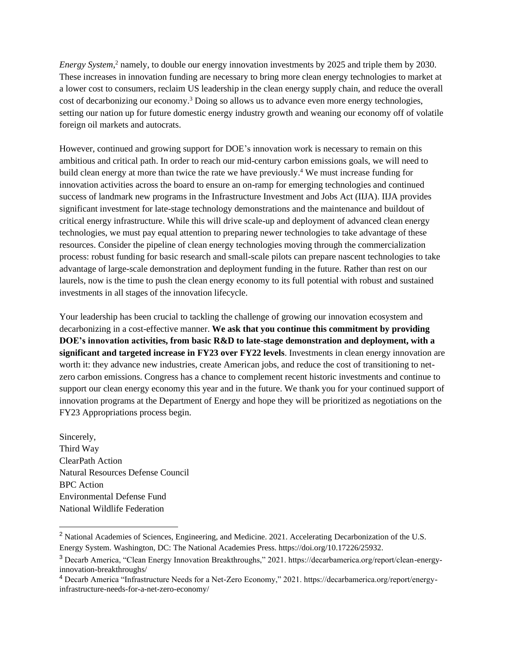*Energy System*, <sup>2</sup> namely, to double our energy innovation investments by 2025 and triple them by 2030. These increases in innovation funding are necessary to bring more clean energy technologies to market at a lower cost to consumers, reclaim US leadership in the clean energy supply chain, and reduce the overall cost of decarbonizing our economy.<sup>3</sup> Doing so allows us to advance even more energy technologies, setting our nation up for future domestic energy industry growth and weaning our economy off of volatile foreign oil markets and autocrats.

However, continued and growing support for DOE's innovation work is necessary to remain on this ambitious and critical path. In order to reach our mid-century carbon emissions goals, we will need to build clean energy at more than twice the rate we have previously. <sup>4</sup> We must increase funding for innovation activities across the board to ensure an on-ramp for emerging technologies and continued success of landmark new programs in the Infrastructure Investment and Jobs Act (IIJA). IIJA provides significant investment for late-stage technology demonstrations and the maintenance and buildout of critical energy infrastructure. While this will drive scale-up and deployment of advanced clean energy technologies, we must pay equal attention to preparing newer technologies to take advantage of these resources. Consider the pipeline of clean energy technologies moving through the commercialization process: robust funding for basic research and small-scale pilots can prepare nascent technologies to take advantage of large-scale demonstration and deployment funding in the future. Rather than rest on our laurels, now is the time to push the clean energy economy to its full potential with robust and sustained investments in all stages of the innovation lifecycle.

Your leadership has been crucial to tackling the challenge of growing our innovation ecosystem and decarbonizing in a cost-effective manner. **We ask that you continue this commitment by providing DOE's innovation activities, from basic R&D to late-stage demonstration and deployment, with a significant and targeted increase in FY23 over FY22 levels**. Investments in clean energy innovation are worth it: they advance new industries, create American jobs, and reduce the cost of transitioning to netzero carbon emissions. Congress has a chance to complement recent historic investments and continue to support our clean energy economy this year and in the future. We thank you for your continued support of innovation programs at the Department of Energy and hope they will be prioritized as negotiations on the FY23 Appropriations process begin.

Sincerely, Third Way ClearPath Action Natural Resources Defense Council BPC Action Environmental Defense Fund National Wildlife Federation

<sup>&</sup>lt;sup>2</sup> National Academies of Sciences, Engineering, and Medicine. 2021. Accelerating Decarbonization of the U.S. Energy System. Washington, DC: The National Academies Press. https://doi.org/10.17226/25932.

<sup>3</sup> Decarb America, "Clean Energy Innovation Breakthroughs," 2021. https://decarbamerica.org/report/clean-energyinnovation-breakthroughs/

<sup>4</sup> Decarb America "Infrastructure Needs for a Net-Zero Economy," 2021. https://decarbamerica.org/report/energyinfrastructure-needs-for-a-net-zero-economy/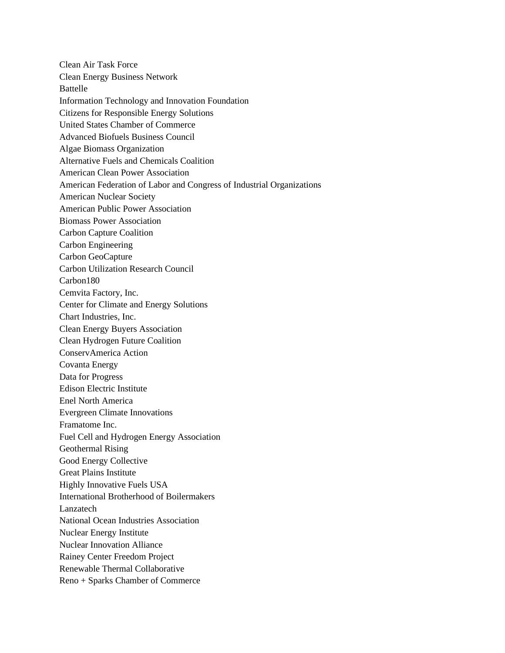Clean Air Task Force Clean Energy Business Network Battelle Information Technology and Innovation Foundation Citizens for Responsible Energy Solutions United States Chamber of Commerce Advanced Biofuels Business Council Algae Biomass Organization Alternative Fuels and Chemicals Coalition American Clean Power Association American Federation of Labor and Congress of Industrial Organizations American Nuclear Society American Public Power Association Biomass Power Association Carbon Capture Coalition Carbon Engineering Carbon GeoCapture Carbon Utilization Research Council Carbon180 Cemvita Factory, Inc. Center for Climate and Energy Solutions Chart Industries, Inc. Clean Energy Buyers Association Clean Hydrogen Future Coalition ConservAmerica Action Covanta Energy Data for Progress Edison Electric Institute Enel North America Evergreen Climate Innovations Framatome Inc. Fuel Cell and Hydrogen Energy Association Geothermal Rising Good Energy Collective Great Plains Institute Highly Innovative Fuels USA International Brotherhood of Boilermakers Lanzatech National Ocean Industries Association Nuclear Energy Institute Nuclear Innovation Alliance Rainey Center Freedom Project Renewable Thermal Collaborative Reno + Sparks Chamber of Commerce